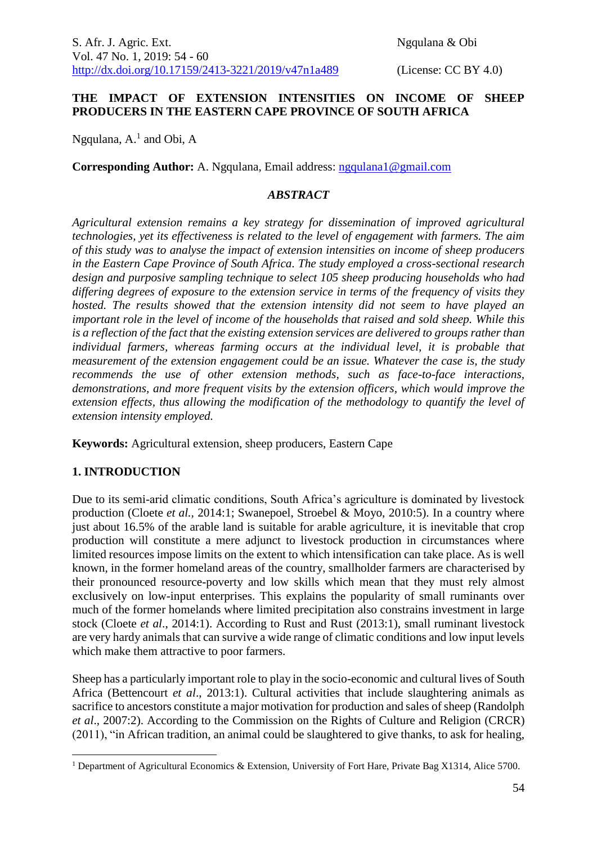S. Afr. J. Agric. Ext. Ngqulana & Obi Vol. 47 No. 1, 2019: 54 - 60 [http://dx.doi.org/10.17159/2413-3221/2019/v47n1a489](https://urldefense.proofpoint.com/v2/url?u=http-3A__dx.doi.org_10.17159_2413-2D3221_2019_v47n1a485&d=DwMFAg&c=vTCSeBKl9YZZHWJzz-zQUQ&r=2O1irMqrdumXAIE9PdSLREhTXj5iyPGEywcz8I6zQwI&m=niwmmhX1mCI8GpeJjK8D7j-v09hQgXHBu3LsS3Opojw&s=98o8gy8B6ly02TS5WoJvLScIQPXENi4ceK3R3c9Iu9c&e=) (License: CC BY 4.0)

### **THE IMPACT OF EXTENSION INTENSITIES ON INCOME OF SHEEP PRODUCERS IN THE EASTERN CAPE PROVINCE OF SOUTH AFRICA**

Ngqulana,  $A<sup>1</sup>$  and Obi,  $A$ 

**Corresponding Author:** A. Ngqulana, Email address: [ngqulana1@gmail.com](mailto:ngqulana1@gmail.com)

### *ABSTRACT*

*Agricultural extension remains a key strategy for dissemination of improved agricultural technologies, yet its effectiveness is related to the level of engagement with farmers. The aim of this study was to analyse the impact of extension intensities on income of sheep producers in the Eastern Cape Province of South Africa. The study employed a cross-sectional research design and purposive sampling technique to select 105 sheep producing households who had differing degrees of exposure to the extension service in terms of the frequency of visits they hosted. The results showed that the extension intensity did not seem to have played an important role in the level of income of the households that raised and sold sheep. While this is a reflection of the fact that the existing extension services are delivered to groups rather than individual farmers, whereas farming occurs at the individual level, it is probable that measurement of the extension engagement could be an issue. Whatever the case is, the study recommends the use of other extension methods, such as face-to-face interactions, demonstrations, and more frequent visits by the extension officers, which would improve the extension effects, thus allowing the modification of the methodology to quantify the level of extension intensity employed.*

**Keywords:** Agricultural extension, sheep producers, Eastern Cape

### **1. INTRODUCTION**

<u>.</u>

Due to its semi-arid climatic conditions, South Africa's agriculture is dominated by livestock production (Cloete *et al.,* 2014:1; Swanepoel, Stroebel & Moyo, 2010:5). In a country where just about 16.5% of the arable land is suitable for arable agriculture, it is inevitable that crop production will constitute a mere adjunct to livestock production in circumstances where limited resources impose limits on the extent to which intensification can take place. As is well known, in the former homeland areas of the country, smallholder farmers are characterised by their pronounced resource-poverty and low skills which mean that they must rely almost exclusively on low-input enterprises. This explains the popularity of small ruminants over much of the former homelands where limited precipitation also constrains investment in large stock (Cloete *et al*., 2014:1). According to Rust and Rust (2013:1), small ruminant livestock are very hardy animals that can survive a wide range of climatic conditions and low input levels which make them attractive to poor farmers.

Sheep has a particularly important role to play in the socio-economic and cultural lives of South Africa (Bettencourt *et al*., 2013:1). Cultural activities that include slaughtering animals as sacrifice to ancestors constitute a major motivation for production and sales of sheep (Randolph *et al*., 2007:2). According to the Commission on the Rights of Culture and Religion (CRCR) (2011), "in African tradition, an animal could be slaughtered to give thanks, to ask for healing,

<sup>&</sup>lt;sup>1</sup> Department of Agricultural Economics & Extension, University of Fort Hare, Private Bag X1314, Alice 5700.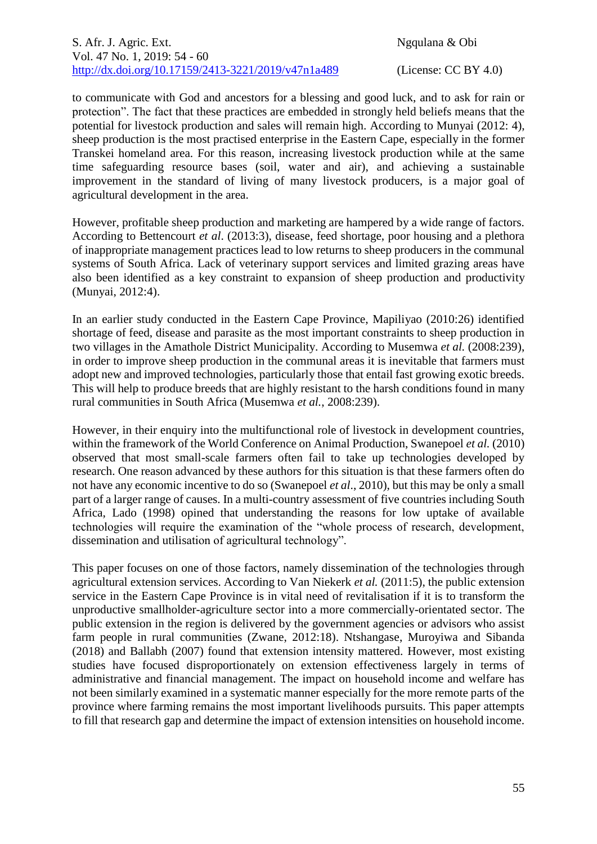to communicate with God and ancestors for a blessing and good luck, and to ask for rain or protection". The fact that these practices are embedded in strongly held beliefs means that the potential for livestock production and sales will remain high. According to Munyai (2012: 4), sheep production is the most practised enterprise in the Eastern Cape, especially in the former Transkei homeland area. For this reason, increasing livestock production while at the same time safeguarding resource bases (soil, water and air), and achieving a sustainable improvement in the standard of living of many livestock producers, is a major goal of agricultural development in the area.

However, profitable sheep production and marketing are hampered by a wide range of factors. According to Bettencourt *et al*. (2013:3), disease, feed shortage, poor housing and a plethora of inappropriate management practices lead to low returns to sheep producers in the communal systems of South Africa. Lack of veterinary support services and limited grazing areas have also been identified as a key constraint to expansion of sheep production and productivity (Munyai, 2012:4).

In an earlier study conducted in the Eastern Cape Province, Mapiliyao (2010:26) identified shortage of feed, disease and parasite as the most important constraints to sheep production in two villages in the Amathole District Municipality. According to Musemwa *et al.* (2008:239), in order to improve sheep production in the communal areas it is inevitable that farmers must adopt new and improved technologies, particularly those that entail fast growing exotic breeds. This will help to produce breeds that are highly resistant to the harsh conditions found in many rural communities in South Africa (Musemwa *et al.*, 2008:239).

However, in their enquiry into the multifunctional role of livestock in development countries, within the framework of the World Conference on Animal Production, Swanepoel *et al.* (2010) observed that most small-scale farmers often fail to take up technologies developed by research. One reason advanced by these authors for this situation is that these farmers often do not have any economic incentive to do so (Swanepoel *et al*., 2010), but this may be only a small part of a larger range of causes. In a multi-country assessment of five countries including South Africa, Lado (1998) opined that understanding the reasons for low uptake of available technologies will require the examination of the "whole process of research, development, dissemination and utilisation of agricultural technology".

This paper focuses on one of those factors, namely dissemination of the technologies through agricultural extension services. According to Van Niekerk *et al.* (2011:5), the public extension service in the Eastern Cape Province is in vital need of revitalisation if it is to transform the unproductive smallholder-agriculture sector into a more commercially-orientated sector. The public extension in the region is delivered by the government agencies or advisors who assist farm people in rural communities (Zwane, 2012:18). Ntshangase, Muroyiwa and Sibanda (2018) and Ballabh (2007) found that extension intensity mattered. However, most existing studies have focused disproportionately on extension effectiveness largely in terms of administrative and financial management. The impact on household income and welfare has not been similarly examined in a systematic manner especially for the more remote parts of the province where farming remains the most important livelihoods pursuits. This paper attempts to fill that research gap and determine the impact of extension intensities on household income.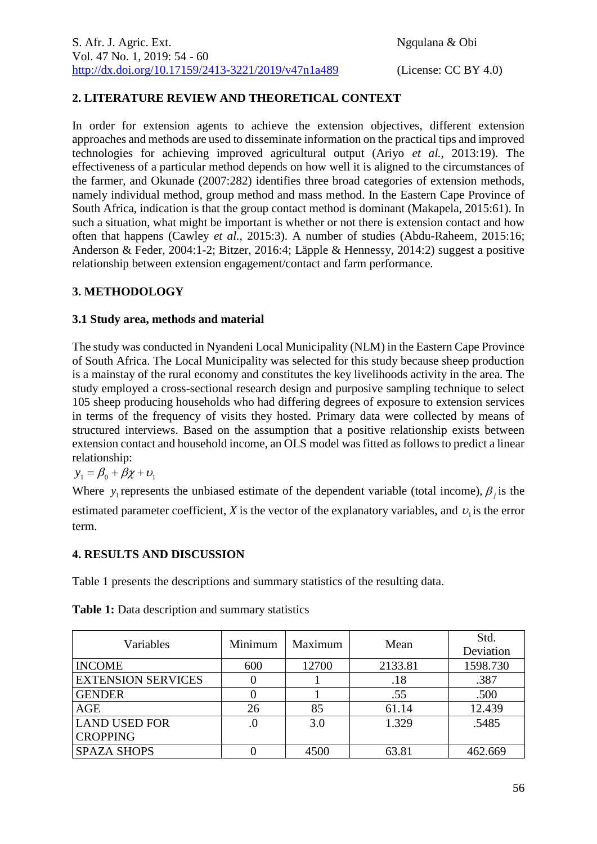# **2. LITERATURE REVIEW AND THEORETICAL CONTEXT**

In order for extension agents to achieve the extension objectives, different extension approaches and methods are used to disseminate information on the practical tips and improved technologies for achieving improved agricultural output (Ariyo *et al.,* 2013:19). The effectiveness of a particular method depends on how well it is aligned to the circumstances of the farmer, and Okunade (2007:282) identifies three broad categories of extension methods, namely individual method, group method and mass method. In the Eastern Cape Province of South Africa, indication is that the group contact method is dominant (Makapela, 2015:61). In such a situation, what might be important is whether or not there is extension contact and how often that happens (Cawley *et al.,* 2015:3). A number of studies (Abdu-Raheem, 2015:16; Anderson & Feder, 2004:1-2; Bitzer, 2016:4; Läpple & Hennessy, 2014:2) suggest a positive relationship between extension engagement/contact and farm performance.

# **3. METHODOLOGY**

## **3.1 Study area, methods and material**

The study was conducted in Nyandeni Local Municipality (NLM) in the Eastern Cape Province of South Africa. The Local Municipality was selected for this study because sheep production is a mainstay of the rural economy and constitutes the key livelihoods activity in the area. The study employed a cross-sectional research design and purposive sampling technique to select 105 sheep producing households who had differing degrees of exposure to extension services in terms of the frequency of visits they hosted. Primary data were collected by means of structured interviews. Based on the assumption that a positive relationship exists between extension contact and household income, an OLS model was fitted as follows to predict a linear relationship:

$$
y_1 = \beta_0 + \beta \chi + \upsilon_1
$$

Where  $y_1$  represents the unbiased estimate of the dependent variable (total income),  $\beta_j$  is the estimated parameter coefficient,  $X$  is the vector of the explanatory variables, and  $v_1$  is the error term.

# **4. RESULTS AND DISCUSSION**

Table 1 presents the descriptions and summary statistics of the resulting data.

| Variables                 | Minimum | Maximum | Mean    | Std.<br>Deviation |
|---------------------------|---------|---------|---------|-------------------|
| <b>INCOME</b>             | 600     | 12700   | 2133.81 | 1598.730          |
| <b>EXTENSION SERVICES</b> |         |         | .18     | .387              |
| <b>GENDER</b>             |         |         | .55     | .500              |
| AGE                       | 26      | 85      | 61.14   | 12.439            |
| <b>LAND USED FOR</b>      | .0      | 3.0     | 1.329   | .5485             |
| <b>CROPPING</b>           |         |         |         |                   |
| <b>SPAZA SHOPS</b>        |         | 4500    | 63.81   | 462.669           |

**Table 1:** Data description and summary statistics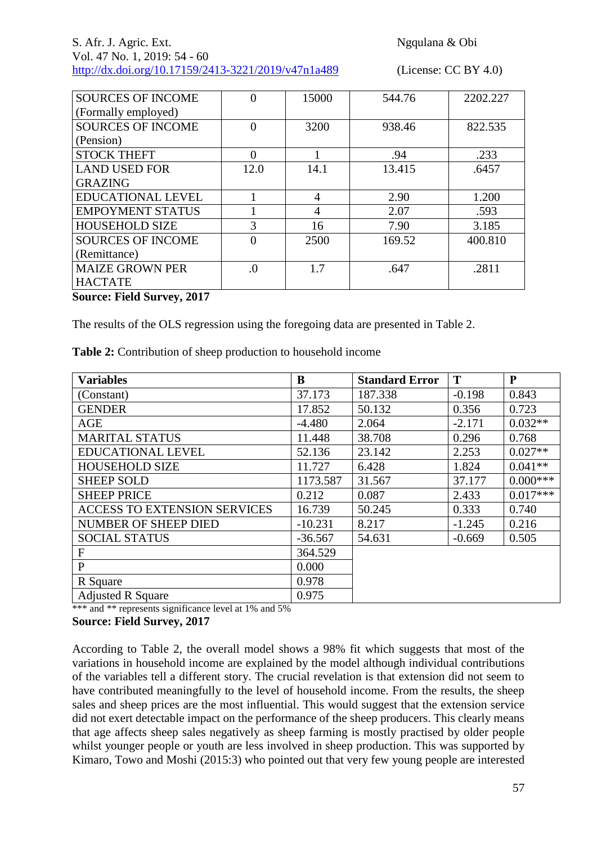| <b>SOURCES OF INCOME</b> | 0              | 15000          | 544.76 | 2202.227 |
|--------------------------|----------------|----------------|--------|----------|
| (Formally employed)      |                |                |        |          |
| <b>SOURCES OF INCOME</b> | 0              | 3200           | 938.46 | 822.535  |
| (Pension)                |                |                |        |          |
| <b>STOCK THEFT</b>       | 0              |                | .94    | .233     |
| <b>LAND USED FOR</b>     | 12.0           | 14.1           | 13.415 | .6457    |
| <b>GRAZING</b>           |                |                |        |          |
| <b>EDUCATIONAL LEVEL</b> |                | $\overline{4}$ | 2.90   | 1.200    |
| <b>EMPOYMENT STATUS</b>  |                | 4              | 2.07   | .593     |
| <b>HOUSEHOLD SIZE</b>    | 3              | 16             | 7.90   | 3.185    |
| <b>SOURCES OF INCOME</b> | $\Omega$       | 2500           | 169.52 | 400.810  |
| (Remittance)             |                |                |        |          |
| <b>MAIZE GROWN PER</b>   | $\overline{0}$ | 1.7            | .647   | .2811    |
| <b>HACTATE</b>           |                |                |        |          |

**Source: Field Survey, 2017**

The results of the OLS regression using the foregoing data are presented in Table 2.

**Table 2:** Contribution of sheep production to household income

| <b>Variables</b>                    | B         | <b>Standard Error</b> | T        | P          |
|-------------------------------------|-----------|-----------------------|----------|------------|
| (Constant)                          | 37.173    | 187.338               | $-0.198$ | 0.843      |
| <b>GENDER</b>                       | 17.852    | 50.132                | 0.356    | 0.723      |
| AGE                                 | $-4.480$  | 2.064                 | $-2.171$ | $0.032**$  |
| <b>MARITAL STATUS</b>               | 11.448    | 38.708                | 0.296    | 0.768      |
| <b>EDUCATIONAL LEVEL</b>            | 52.136    | 23.142                | 2.253    | $0.027**$  |
| <b>HOUSEHOLD SIZE</b>               | 11.727    | 6.428                 | 1.824    | $0.041**$  |
| <b>SHEEP SOLD</b>                   | 1173.587  | 31.567                | 37.177   | $0.000***$ |
| <b>SHEEP PRICE</b>                  | 0.212     | 0.087                 | 2.433    | $0.017***$ |
| <b>ACCESS TO EXTENSION SERVICES</b> | 16.739    | 50.245                | 0.333    | 0.740      |
| NUMBER OF SHEEP DIED                | $-10.231$ | 8.217                 | $-1.245$ | 0.216      |
| <b>SOCIAL STATUS</b>                | $-36.567$ | 54.631                | $-0.669$ | 0.505      |
| F                                   | 364.529   |                       |          |            |
| $\mathbf{P}$                        | 0.000     |                       |          |            |
| R Square                            | 0.978     |                       |          |            |
| <b>Adjusted R Square</b>            | 0.975     |                       |          |            |

\*\*\* and \*\* represents significance level at 1% and 5%

#### **Source: Field Survey, 2017**

According to Table 2, the overall model shows a 98% fit which suggests that most of the variations in household income are explained by the model although individual contributions of the variables tell a different story. The crucial revelation is that extension did not seem to have contributed meaningfully to the level of household income. From the results, the sheep sales and sheep prices are the most influential. This would suggest that the extension service did not exert detectable impact on the performance of the sheep producers. This clearly means that age affects sheep sales negatively as sheep farming is mostly practised by older people whilst younger people or youth are less involved in sheep production. This was supported by Kimaro, Towo and Moshi (2015:3) who pointed out that very few young people are interested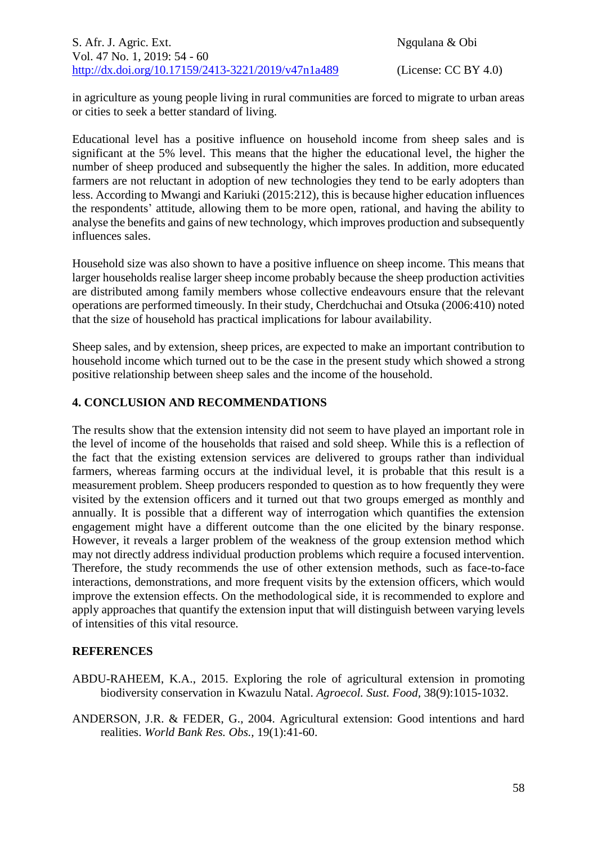in agriculture as young people living in rural communities are forced to migrate to urban areas or cities to seek a better standard of living.

Educational level has a positive influence on household income from sheep sales and is significant at the 5% level. This means that the higher the educational level, the higher the number of sheep produced and subsequently the higher the sales. In addition, more educated farmers are not reluctant in adoption of new technologies they tend to be early adopters than less. According to Mwangi and Kariuki (2015:212), this is because higher education influences the respondents' attitude, allowing them to be more open, rational, and having the ability to analyse the benefits and gains of new technology, which improves production and subsequently influences sales.

Household size was also shown to have a positive influence on sheep income. This means that larger households realise larger sheep income probably because the sheep production activities are distributed among family members whose collective endeavours ensure that the relevant operations are performed timeously. In their study, Cherdchuchai and Otsuka (2006:410) noted that the size of household has practical implications for labour availability.

Sheep sales, and by extension, sheep prices, are expected to make an important contribution to household income which turned out to be the case in the present study which showed a strong positive relationship between sheep sales and the income of the household.

## **4. CONCLUSION AND RECOMMENDATIONS**

The results show that the extension intensity did not seem to have played an important role in the level of income of the households that raised and sold sheep. While this is a reflection of the fact that the existing extension services are delivered to groups rather than individual farmers, whereas farming occurs at the individual level, it is probable that this result is a measurement problem. Sheep producers responded to question as to how frequently they were visited by the extension officers and it turned out that two groups emerged as monthly and annually. It is possible that a different way of interrogation which quantifies the extension engagement might have a different outcome than the one elicited by the binary response. However, it reveals a larger problem of the weakness of the group extension method which may not directly address individual production problems which require a focused intervention. Therefore, the study recommends the use of other extension methods, such as face-to-face interactions, demonstrations, and more frequent visits by the extension officers, which would improve the extension effects. On the methodological side, it is recommended to explore and apply approaches that quantify the extension input that will distinguish between varying levels of intensities of this vital resource.

### **REFERENCES**

ABDU-RAHEEM, K.A., 2015. Exploring the role of agricultural extension in promoting biodiversity conservation in Kwazulu Natal. *Agroecol. Sust. Food,* 38(9):1015-1032.

ANDERSON, J.R. & FEDER, G., 2004. Agricultural extension: Good intentions and hard realities. *World Bank Res. Obs.,* 19(1):41-60.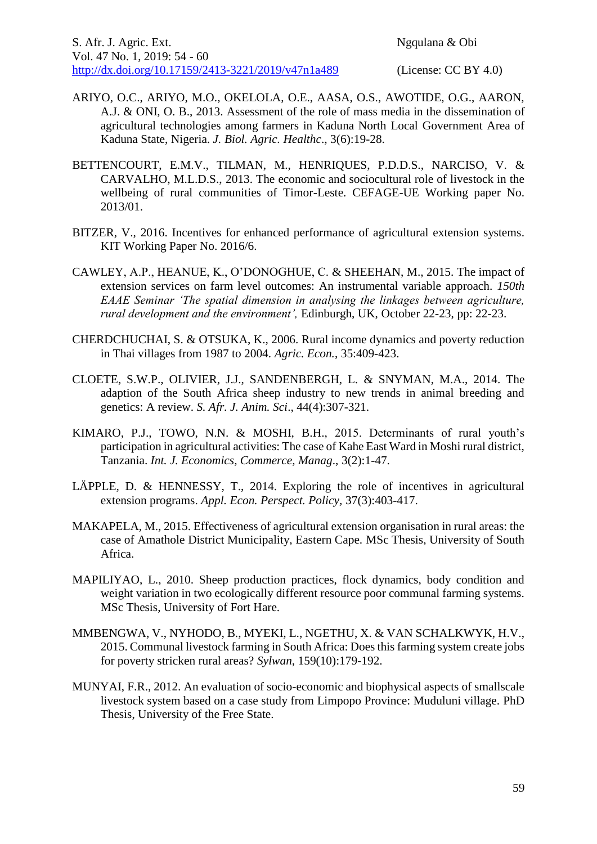- ARIYO, O.C., ARIYO, M.O., OKELOLA, O.E., AASA, O.S., AWOTIDE, O.G., AARON, A.J. & ONI, O. B., 2013. Assessment of the role of mass media in the dissemination of agricultural technologies among farmers in Kaduna North Local Government Area of Kaduna State, Nigeria. *J. Biol. Agric. Healthc*., 3(6):19-28.
- BETTENCOURT, E.M.V., TILMAN, M., HENRIQUES, P.D.D.S., NARCISO, V. & CARVALHO, M.L.D.S., 2013. The economic and sociocultural role of livestock in the wellbeing of rural communities of Timor-Leste. CEFAGE-UE Working paper No. 2013/01.
- BITZER, V., 2016. Incentives for enhanced performance of agricultural extension systems. KIT Working Paper No. 2016/6.
- CAWLEY, A.P., HEANUE, K., O'DONOGHUE, C. & SHEEHAN, M., 2015. The impact of extension services on farm level outcomes: An instrumental variable approach. *150th EAAE Seminar 'The spatial dimension in analysing the linkages between agriculture, rural development and the environment',* Edinburgh, UK, October 22-23, pp: 22-23.
- CHERDCHUCHAI, S. & OTSUKA, K., 2006. Rural income dynamics and poverty reduction in Thai villages from 1987 to 2004. *Agric. Econ.*, 35:409-423.
- CLOETE, S.W.P., OLIVIER, J.J., SANDENBERGH, L. & SNYMAN, M.A., 2014. The adaption of the South Africa sheep industry to new trends in animal breeding and genetics: A review. *S. Afr. J. Anim. Sci*., 44(4):307-321.
- KIMARO, P.J., TOWO, N.N. & MOSHI, B.H., 2015. Determinants of rural youth's participation in agricultural activities: The case of Kahe East Ward in Moshi rural district, Tanzania. *Int. J. Economics, Commerce, Manag*., 3(2):1-47.
- LÄPPLE, D. & HENNESSY, T., 2014. Exploring the role of incentives in agricultural extension programs. *Appl. Econ. Perspect. Policy,* 37(3):403-417.
- MAKAPELA, M., 2015. Effectiveness of agricultural extension organisation in rural areas: the case of Amathole District Municipality, Eastern Cape. MSc Thesis, University of South Africa.
- MAPILIYAO, L., 2010. Sheep production practices, flock dynamics, body condition and weight variation in two ecologically different resource poor communal farming systems. MSc Thesis, University of Fort Hare.
- MMBENGWA, V., NYHODO, B., MYEKI, L., NGETHU, X. & VAN SCHALKWYK, H.V., 2015. Communal livestock farming in South Africa: Does this farming system create jobs for poverty stricken rural areas? *Sylwan*, 159(10):179-192.
- MUNYAI, F.R., 2012. An evaluation of socio-economic and biophysical aspects of smallscale livestock system based on a case study from Limpopo Province: Muduluni village. PhD Thesis, University of the Free State.